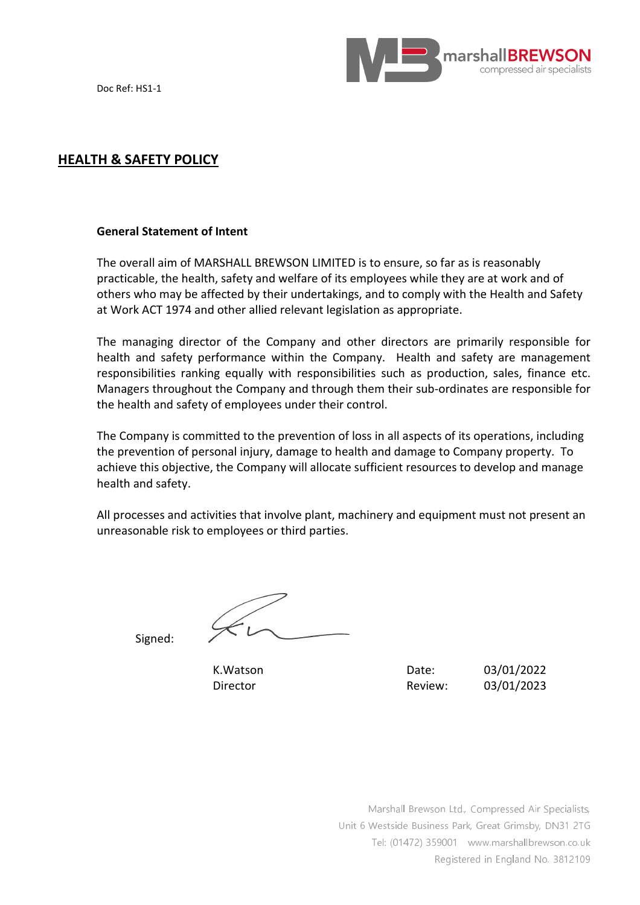



## **HEALTH & SAFETY POLICY**

#### **General Statement of Intent**

The overall aim of MARSHALL BREWSON LIMITED is to ensure, so far as is reasonably practicable, the health, safety and welfare of its employees while they are at work and of others who may be affected by their undertakings, and to comply with the Health and Safety at Work ACT 1974 and other allied relevant legislation as appropriate.

The managing director of the Company and other directors are primarily responsible for health and safety performance within the Company. Health and safety are management responsibilities ranking equally with responsibilities such as production, sales, finance etc. Managers throughout the Company and through them their sub-ordinates are responsible for the health and safety of employees under their control.

The Company is committed to the prevention of loss in all aspects of its operations, including the prevention of personal injury, damage to health and damage to Company property. To achieve this objective, the Company will allocate sufficient resources to develop and manage health and safety.

All processes and activities that involve plant, machinery and equipment must not present an unreasonable risk to employees or third parties.

Signed:

K.Watson Date: 03/01/2022 Director Review: 03/01/2023

> Marshall Brewson Ltd., Compressed Air Specialists, Unit 6 Westside Business Park, Great Grimsby, DN31 2TG Tel: (01472) 359001 www.marshallbrewson.co.uk Registered in England No. 3812109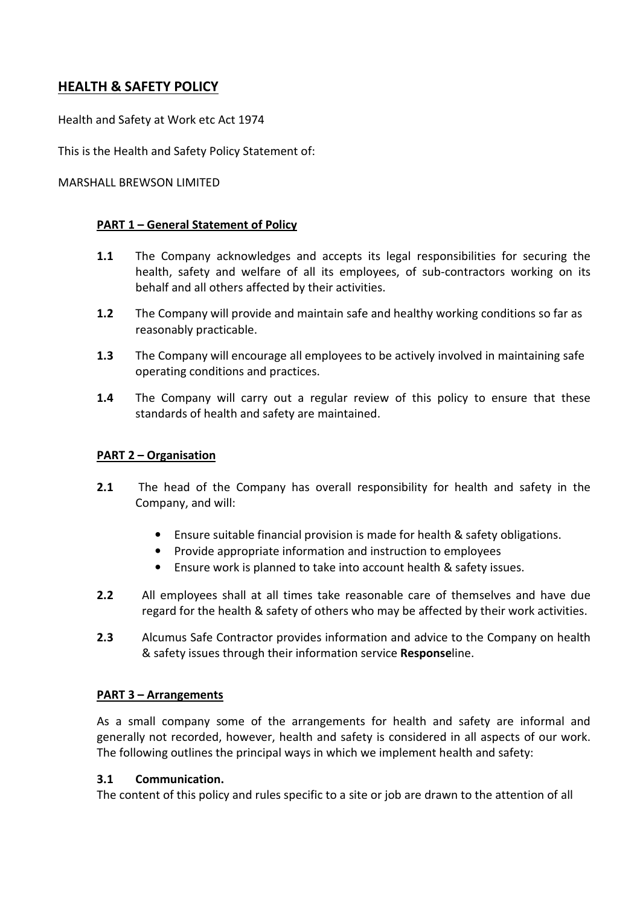# **HEALTH & SAFETY POLICY**

Health and Safety at Work etc Act 1974

This is the Health and Safety Policy Statement of:

#### MARSHALL BREWSON LIMITED

#### **PART 1 – General Statement of Policy**

- **1.1** The Company acknowledges and accepts its legal responsibilities for securing the health, safety and welfare of all its employees, of sub-contractors working on its behalf and all others affected by their activities.
- **1.2** The Company will provide and maintain safe and healthy working conditions so far as reasonably practicable.
- **1.3** The Company will encourage all employees to be actively involved in maintaining safe operating conditions and practices.
- **1.4** The Company will carry out a regular review of this policy to ensure that these standards of health and safety are maintained.

#### **PART 2 – Organisation**

- **2.1** The head of the Company has overall responsibility for health and safety in the Company, and will:
	- Ensure suitable financial provision is made for health & safety obligations.
	- Provide appropriate information and instruction to employees
	- Ensure work is planned to take into account health & safety issues.
- **2.2** All employees shall at all times take reasonable care of themselves and have due regard for the health & safety of others who may be affected by their work activities.
- **2.3** Alcumus Safe Contractor provides information and advice to the Company on health & safety issues through their information service **Response**line.

#### **PART 3 – Arrangements**

As a small company some of the arrangements for health and safety are informal and generally not recorded, however, health and safety is considered in all aspects of our work. The following outlines the principal ways in which we implement health and safety:

#### **3.1 Communication.**

The content of this policy and rules specific to a site or job are drawn to the attention of all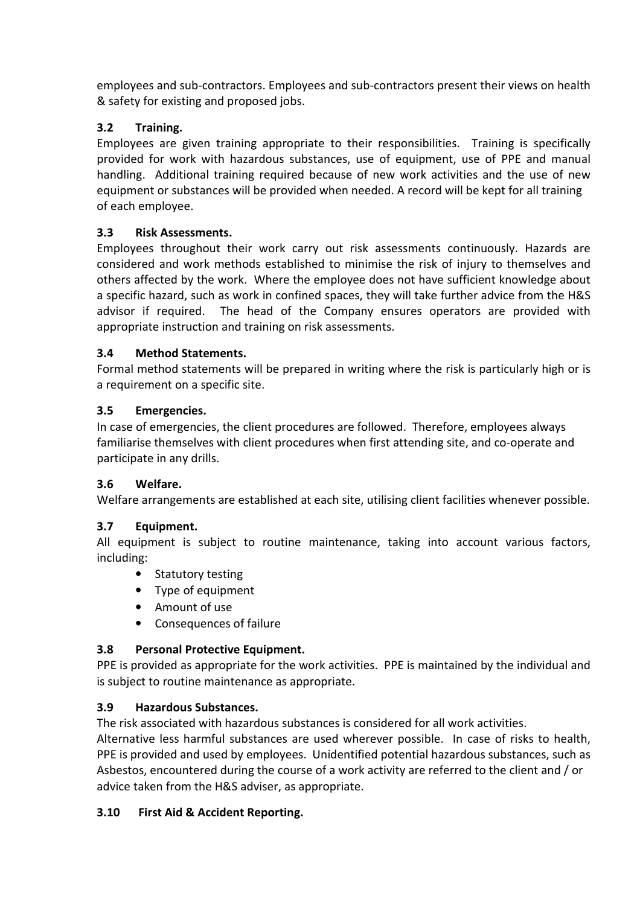employees and sub-contractors. Employees and sub-contractors present their views on health & safety for existing and proposed jobs.

## **3.2 Training.**

Employees are given training appropriate to their responsibilities. Training is specifically provided for work with hazardous substances, use of equipment, use of PPE and manual handling. Additional training required because of new work activities and the use of new equipment or substances will be provided when needed. A record will be kept for all training of each employee.

# **3.3 Risk Assessments.**

Employees throughout their work carry out risk assessments continuously. Hazards are considered and work methods established to minimise the risk of injury to themselves and others affected by the work. Where the employee does not have sufficient knowledge about a specific hazard, such as work in confined spaces, they will take further advice from the H&S advisor if required. The head of the Company ensures operators are provided with appropriate instruction and training on risk assessments.

## **3.4 Method Statements.**

Formal method statements will be prepared in writing where the risk is particularly high or is a requirement on a specific site.

## **3.5 Emergencies.**

In case of emergencies, the client procedures are followed. Therefore, employees always familiarise themselves with client procedures when first attending site, and co-operate and participate in any drills.

## **3.6 Welfare.**

Welfare arrangements are established at each site, utilising client facilities whenever possible.

# **3.7 Equipment.**

All equipment is subject to routine maintenance, taking into account various factors, including:

- Statutory testing
- Type of equipment
- Amount of use
- Consequences of failure

# **3.8 Personal Protective Equipment.**

PPE is provided as appropriate for the work activities. PPE is maintained by the individual and is subject to routine maintenance as appropriate.

# **3.9 Hazardous Substances.**

The risk associated with hazardous substances is considered for all work activities.

Alternative less harmful substances are used wherever possible. In case of risks to health, PPE is provided and used by employees. Unidentified potential hazardous substances, such as Asbestos, encountered during the course of a work activity are referred to the client and / or advice taken from the H&S adviser, as appropriate.

# **3.10 First Aid & Accident Reporting.**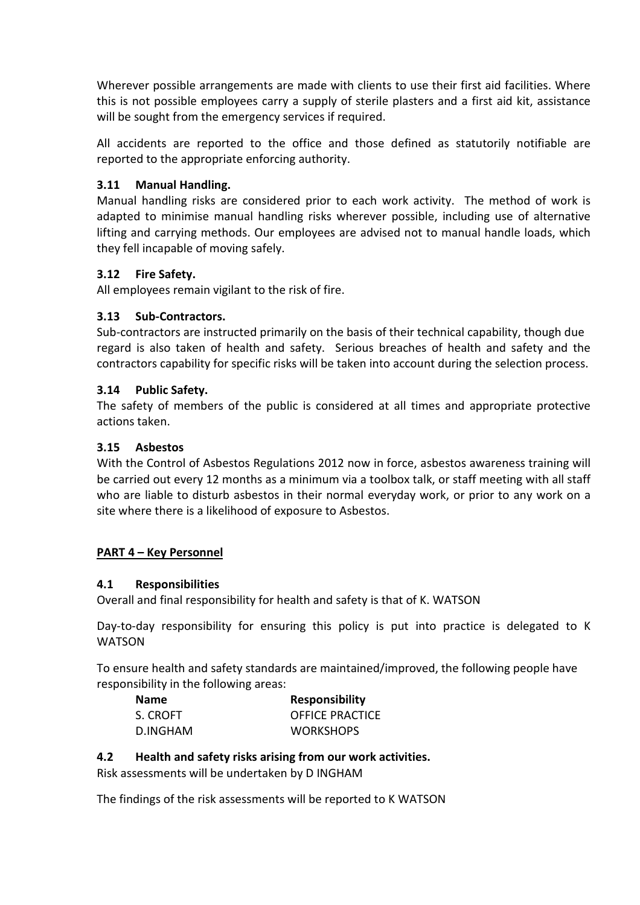Wherever possible arrangements are made with clients to use their first aid facilities. Where this is not possible employees carry a supply of sterile plasters and a first aid kit, assistance will be sought from the emergency services if required.

All accidents are reported to the office and those defined as statutorily notifiable are reported to the appropriate enforcing authority.

## **3.11 Manual Handling.**

Manual handling risks are considered prior to each work activity. The method of work is adapted to minimise manual handling risks wherever possible, including use of alternative lifting and carrying methods. Our employees are advised not to manual handle loads, which they fell incapable of moving safely.

## **3.12 Fire Safety.**

All employees remain vigilant to the risk of fire.

## **3.13 Sub-Contractors.**

Sub-contractors are instructed primarily on the basis of their technical capability, though due regard is also taken of health and safety. Serious breaches of health and safety and the contractors capability for specific risks will be taken into account during the selection process.

## **3.14 Public Safety.**

The safety of members of the public is considered at all times and appropriate protective actions taken.

## **3.15 Asbestos**

With the Control of Asbestos Regulations 2012 now in force, asbestos awareness training will be carried out every 12 months as a minimum via a toolbox talk, or staff meeting with all staff who are liable to disturb asbestos in their normal everyday work, or prior to any work on a site where there is a likelihood of exposure to Asbestos.

## **PART 4 – Key Personnel**

## **4.1 Responsibilities**

Overall and final responsibility for health and safety is that of K. WATSON

Day-to-day responsibility for ensuring this policy is put into practice is delegated to K WATSON

To ensure health and safety standards are maintained/improved, the following people have responsibility in the following areas:

| <b>Name</b> | <b>Responsibility</b>  |
|-------------|------------------------|
| S. CROFT    | <b>OFFICE PRACTICE</b> |
| D.INGHAM    | <b>WORKSHOPS</b>       |

## **4.2 Health and safety risks arising from our work activities.**

Risk assessments will be undertaken by D INGHAM

The findings of the risk assessments will be reported to K WATSON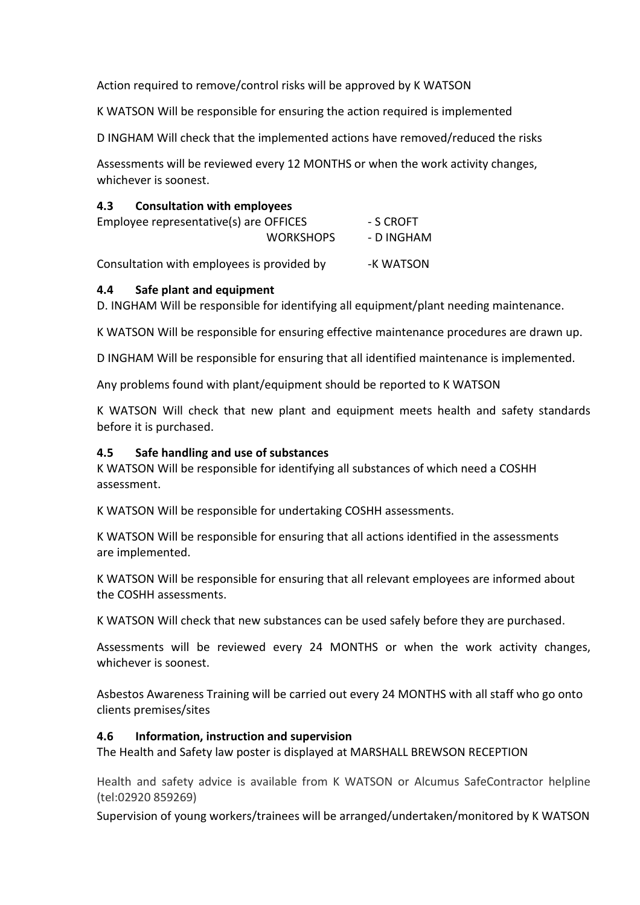Action required to remove/control risks will be approved by K WATSON

K WATSON Will be responsible for ensuring the action required is implemented

D INGHAM Will check that the implemented actions have removed/reduced the risks

Assessments will be reviewed every 12 MONTHS or when the work activity changes, whichever is soonest.

### **4.3 Consultation with employees**

| Employee representative(s) are OFFICES |                  | - S CROFT  |
|----------------------------------------|------------------|------------|
|                                        | <b>WORKSHOPS</b> | - D INGHAM |

Consultation with employees is provided by Fame South 2015 - K WATSON

#### **4.4 Safe plant and equipment**

D. INGHAM Will be responsible for identifying all equipment/plant needing maintenance.

K WATSON Will be responsible for ensuring effective maintenance procedures are drawn up.

D INGHAM Will be responsible for ensuring that all identified maintenance is implemented.

Any problems found with plant/equipment should be reported to K WATSON

K WATSON Will check that new plant and equipment meets health and safety standards before it is purchased.

#### **4.5 Safe handling and use of substances**

K WATSON Will be responsible for identifying all substances of which need a COSHH assessment.

K WATSON Will be responsible for undertaking COSHH assessments.

K WATSON Will be responsible for ensuring that all actions identified in the assessments are implemented.

K WATSON Will be responsible for ensuring that all relevant employees are informed about the COSHH assessments.

K WATSON Will check that new substances can be used safely before they are purchased.

Assessments will be reviewed every 24 MONTHS or when the work activity changes, whichever is soonest.

Asbestos Awareness Training will be carried out every 24 MONTHS with all staff who go onto clients premises/sites

#### **4.6 Information, instruction and supervision**

The Health and Safety law poster is displayed at MARSHALL BREWSON RECEPTION

Health and safety advice is available from K WATSON or Alcumus SafeContractor helpline (tel:02920 859269)

Supervision of young workers/trainees will be arranged/undertaken/monitored by K WATSON